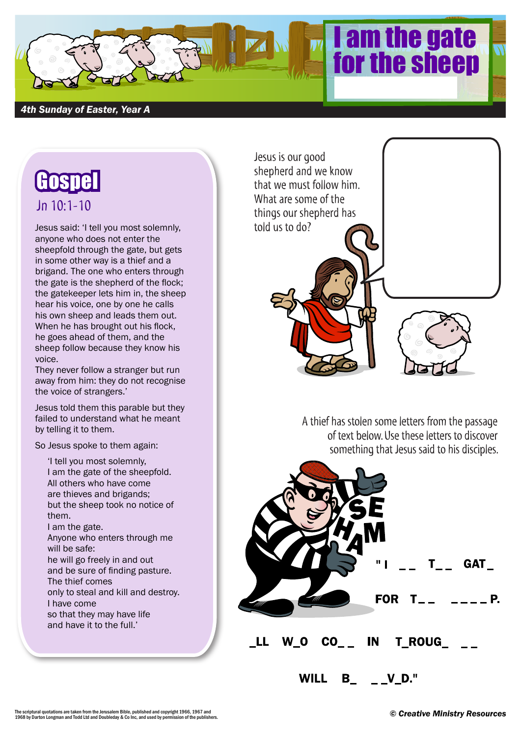

## *4th Sunday of Easter, Year A*

## **Gospe** Jn 10:1-10

Jesus said: 'I tell you most solemnly, anyone who does not enter the sheepfold through the gate, but gets in some other way is a thief and a brigand. The one who enters through the gate is the shepherd of the flock; the gatekeeper lets him in, the sheep hear his voice, one by one he calls his own sheep and leads them out. When he has brought out his flock, he goes ahead of them, and the sheep follow because they know his voice.

They never follow a stranger but run away from him: they do not recognise the voice of strangers.'

Jesus told them this parable but they failed to understand what he meant by telling it to them.

So Jesus spoke to them again:

'I tell you most solemnly, I am the gate of the sheepfold. All others who have come are thieves and brigands; but the sheep took no notice of them. I am the gate. Anyone who enters through me will be safe: he will go freely in and out and be sure of finding pasture. The thief comes only to steal and kill and destroy. I have come so that they may have life and have it to the full.'



A thief has stolen some letters from the passage of text below. Use these letters to discover something that Jesus said to his disciples.



The scriptural quotations are taken from the Jerusalem Bible, published and copyright 1966, 1967 and<br>1968 by Darton Longman and Todd Ltd and Doubleday & Co Inc, and used by permission of the publishers.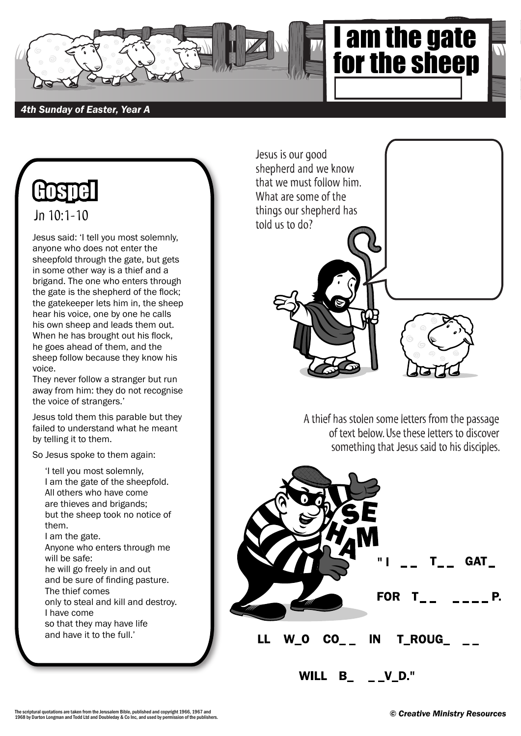

Jesus is our good

shepherd and we know that we must follow him.

## *4th Sunday of Easter, Year A*



 $Jn$  10:1-10

Jesus said: 'I tell you most solemnly, anyone who does not enter the sheepfold through the gate, but gets in some other way is a thief and a brigand. The one who enters through the gate is the shepherd of the flock; the gatekeeper lets him in, the sheep hear his voice, one by one he calls his own sheep and leads them out. When he has brought out his flock, he goes ahead of them, and the sheep follow because they know his voice.

They never follow a stranger but run away from him: they do not recognise the voice of strangers.'

Jesus told them this parable but they failed to understand what he meant by telling it to them.

So Jesus spoke to them again:

'I tell you most solemnly, I am the gate of the sheepfold. All others who have come are thieves and brigands; but the sheep took no notice of them. I am the gate. Anyone who enters through me will be safe: he will go freely in and out and be sure of finding pasture. The thief comes only to steal and kill and destroy. I have come so that they may have life and have it to the full.'